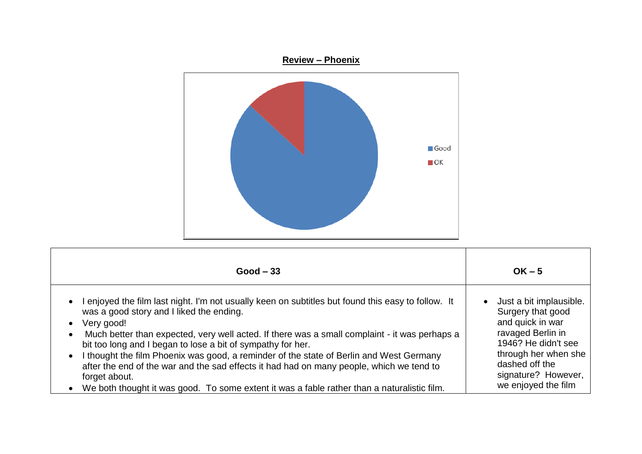

| $Good - 33$                                                                                                                                                                                                                                                                                                                                                                                                                                                                                                                                                                                                                                                                                          | $OK - 5$                                                                                                                                                                                             |
|------------------------------------------------------------------------------------------------------------------------------------------------------------------------------------------------------------------------------------------------------------------------------------------------------------------------------------------------------------------------------------------------------------------------------------------------------------------------------------------------------------------------------------------------------------------------------------------------------------------------------------------------------------------------------------------------------|------------------------------------------------------------------------------------------------------------------------------------------------------------------------------------------------------|
| I enjoyed the film last night. I'm not usually keen on subtitles but found this easy to follow. It<br>$\bullet$<br>was a good story and I liked the ending.<br>Very good!<br>$\bullet$<br>Much better than expected, very well acted. If there was a small complaint - it was perhaps a<br>$\bullet$<br>bit too long and I began to lose a bit of sympathy for her.<br>I thought the film Phoenix was good, a reminder of the state of Berlin and West Germany<br>$\bullet$<br>after the end of the war and the sad effects it had had on many people, which we tend to<br>forget about.<br>We both thought it was good. To some extent it was a fable rather than a naturalistic film.<br>$\bullet$ | Just a bit implausible.<br>Surgery that good<br>and quick in war<br>ravaged Berlin in<br>1946? He didn't see<br>through her when she<br>dashed off the<br>signature? However,<br>we enjoyed the film |